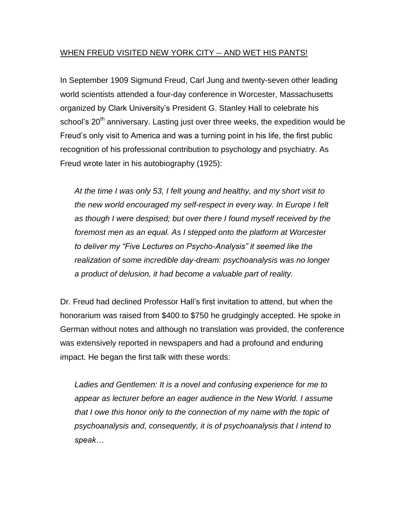# WHEN FREUD VISITED NEW YORK CITY -- AND WET HIS PANTS!

In September 1909 Sigmund Freud, Carl Jung and twenty-seven other leading world scientists attended a four-day conference in Worcester, Massachusetts organized by Clark University's President G. Stanley Hall to celebrate his school's 20<sup>th</sup> anniversary. Lasting just over three weeks, the expedition would be Freud's only visit to America and was a turning point in his life, the first public recognition of his professional contribution to psychology and psychiatry. As Freud wrote later in his autobiography (1925):

*At the time I was only 53, I felt young and healthy, and my short visit to the new world encouraged my self-respect in every way. In Europe I felt as though I were despised; but over there I found myself received by the foremost men as an equal. As I stepped onto the platform at Worcester to deliver my "Five Lectures on Psycho-Analysis" it seemed like the realization of some incredible day-dream: psychoanalysis was no longer a product of delusion, it had become a valuable part of reality.*

Dr. Freud had declined Professor Hall's first invitation to attend, but when the honorarium was raised from \$400 to \$750 he grudgingly accepted. He spoke in German without notes and although no translation was provided, the conference was extensively reported in newspapers and had a profound and enduring impact. He began the first talk with these words:

*Ladies and Gentlemen: It is a novel and confusing experience for me to appear as lecturer before an eager audience in the New World. I assume that I owe this honor only to the connection of my name with the topic of psychoanalysis and, consequently, it is of psychoanalysis that I intend to speak…*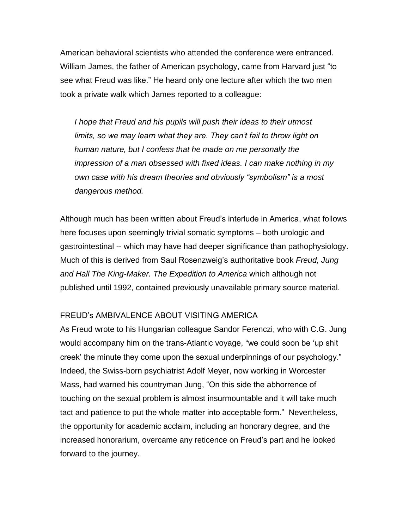American behavioral scientists who attended the conference were entranced. William James, the father of American psychology, came from Harvard just "to see what Freud was like." He heard only one lecture after which the two men took a private walk which James reported to a colleague:

*I hope that Freud and his pupils will push their ideas to their utmost limits, so we may learn what they are. They can't fail to throw light on human nature, but I confess that he made on me personally the impression of a man obsessed with fixed ideas. I can make nothing in my own case with his dream theories and obviously "symbolism" is a most dangerous method.* 

Although much has been written about Freud's interlude in America, what follows here focuses upon seemingly trivial somatic symptoms – both urologic and gastrointestinal -- which may have had deeper significance than pathophysiology. Much of this is derived from Saul Rosenzweig's authoritative book *Freud, Jung and Hall The King-Maker. The Expedition to America* which although not published until 1992, contained previously unavailable primary source material.

# FREUD's AMBIVALENCE ABOUT VISITING AMERICA

As Freud wrote to his Hungarian colleague Sandor Ferenczi, who with C.G. Jung would accompany him on the trans-Atlantic voyage, "we could soon be 'up shit creek' the minute they come upon the sexual underpinnings of our psychology." Indeed, the Swiss-born psychiatrist Adolf Meyer, now working in Worcester Mass, had warned his countryman Jung, "On this side the abhorrence of touching on the sexual problem is almost insurmountable and it will take much tact and patience to put the whole matter into acceptable form." Nevertheless, the opportunity for academic acclaim, including an honorary degree, and the increased honorarium, overcame any reticence on Freud's part and he looked forward to the journey.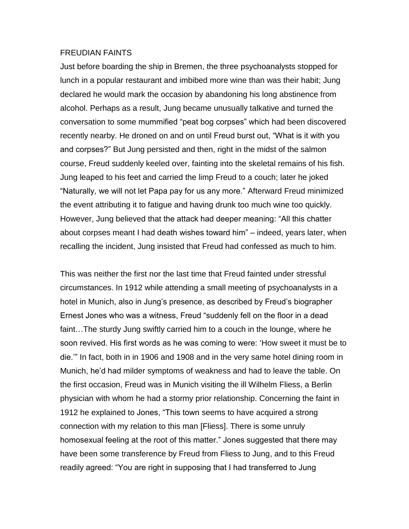#### FREUDIAN FAINTS

Just before boarding the ship in Bremen, the three psychoanalysts stopped for lunch in a popular restaurant and imbibed more wine than was their habit; Jung declared he would mark the occasion by abandoning his long abstinence from alcohol. Perhaps as a result, Jung became unusually talkative and turned the conversation to some mummified "peat bog corpses" which had been discovered recently nearby. He droned on and on until Freud burst out, "What is it with you and corpses?" But Jung persisted and then, right in the midst of the salmon course, Freud suddenly keeled over, fainting into the skeletal remains of his fish. Jung leaped to his feet and carried the limp Freud to a couch; later he joked "Naturally, we will not let Papa pay for us any more." Afterward Freud minimized the event attributing it to fatigue and having drunk too much wine too quickly. However, Jung believed that the attack had deeper meaning: "All this chatter about corpses meant I had death wishes toward him" – indeed, years later, when recalling the incident, Jung insisted that Freud had confessed as much to him.

This was neither the first nor the last time that Freud fainted under stressful circumstances. In 1912 while attending a small meeting of psychoanalysts in a hotel in Munich, also in Jung's presence, as described by Freud's biographer Ernest Jones who was a witness, Freud "suddenly fell on the floor in a dead faint…The sturdy Jung swiftly carried him to a couch in the lounge, where he soon revived. His first words as he was coming to were: 'How sweet it must be to die.'" In fact, both in in 1906 and 1908 and in the very same hotel dining room in Munich, he'd had milder symptoms of weakness and had to leave the table. On the first occasion, Freud was in Munich visiting the ill Wilhelm Fliess, a Berlin physician with whom he had a stormy prior relationship. Concerning the faint in 1912 he explained to Jones, "This town seems to have acquired a strong connection with my relation to this man [Fliess]. There is some unruly homosexual feeling at the root of this matter." Jones suggested that there may have been some transference by Freud from Fliess to Jung, and to this Freud readily agreed: "You are right in supposing that I had transferred to Jung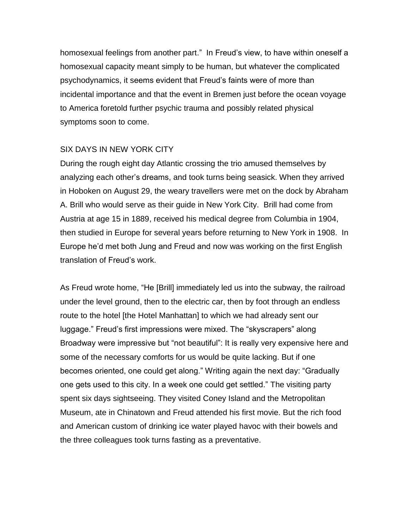homosexual feelings from another part." In Freud's view, to have within oneself a homosexual capacity meant simply to be human, but whatever the complicated psychodynamics, it seems evident that Freud's faints were of more than incidental importance and that the event in Bremen just before the ocean voyage to America foretold further psychic trauma and possibly related physical symptoms soon to come.

# SIX DAYS IN NEW YORK CITY

During the rough eight day Atlantic crossing the trio amused themselves by analyzing each other's dreams, and took turns being seasick. When they arrived in Hoboken on August 29, the weary travellers were met on the dock by Abraham A. Brill who would serve as their guide in New York City. Brill had come from Austria at age 15 in 1889, received his medical degree from Columbia in 1904, then studied in Europe for several years before returning to New York in 1908. In Europe he'd met both Jung and Freud and now was working on the first English translation of Freud's work.

As Freud wrote home, "He [Brill] immediately led us into the subway, the railroad under the level ground, then to the electric car, then by foot through an endless route to the hotel [the Hotel Manhattan] to which we had already sent our luggage." Freud's first impressions were mixed. The "skyscrapers" along Broadway were impressive but "not beautiful": It is really very expensive here and some of the necessary comforts for us would be quite lacking. But if one becomes oriented, one could get along." Writing again the next day: "Gradually one gets used to this city. In a week one could get settled." The visiting party spent six days sightseeing. They visited Coney Island and the Metropolitan Museum, ate in Chinatown and Freud attended his first movie. But the rich food and American custom of drinking ice water played havoc with their bowels and the three colleagues took turns fasting as a preventative.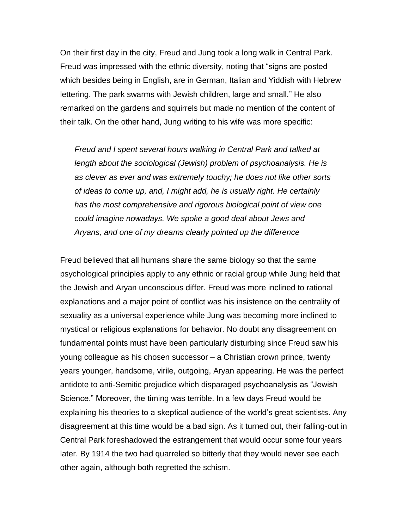On their first day in the city, Freud and Jung took a long walk in Central Park. Freud was impressed with the ethnic diversity, noting that "signs are posted which besides being in English, are in German, Italian and Yiddish with Hebrew lettering. The park swarms with Jewish children, large and small." He also remarked on the gardens and squirrels but made no mention of the content of their talk. On the other hand, Jung writing to his wife was more specific:

*Freud and I spent several hours walking in Central Park and talked at length about the sociological (Jewish) problem of psychoanalysis. He is as clever as ever and was extremely touchy; he does not like other sorts of ideas to come up, and, I might add, he is usually right. He certainly has the most comprehensive and rigorous biological point of view one could imagine nowadays. We spoke a good deal about Jews and Aryans, and one of my dreams clearly pointed up the difference* 

Freud believed that all humans share the same biology so that the same psychological principles apply to any ethnic or racial group while Jung held that the Jewish and Aryan unconscious differ. Freud was more inclined to rational explanations and a major point of conflict was his insistence on the centrality of sexuality as a universal experience while Jung was becoming more inclined to mystical or religious explanations for behavior. No doubt any disagreement on fundamental points must have been particularly disturbing since Freud saw his young colleague as his chosen successor – a Christian crown prince, twenty years younger, handsome, virile, outgoing, Aryan appearing. He was the perfect antidote to anti-Semitic prejudice which disparaged psychoanalysis as "Jewish Science." Moreover, the timing was terrible. In a few days Freud would be explaining his theories to a skeptical audience of the world's great scientists. Any disagreement at this time would be a bad sign. As it turned out, their falling-out in Central Park foreshadowed the estrangement that would occur some four years later. By 1914 the two had quarreled so bitterly that they would never see each other again, although both regretted the schism.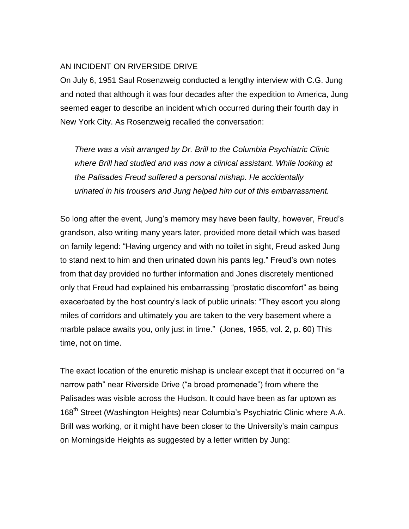### AN INCIDENT ON RIVERSIDE DRIVE

On July 6, 1951 Saul Rosenzweig conducted a lengthy interview with C.G. Jung and noted that although it was four decades after the expedition to America, Jung seemed eager to describe an incident which occurred during their fourth day in New York City. As Rosenzweig recalled the conversation:

*There was a visit arranged by Dr. Brill to the Columbia Psychiatric Clinic where Brill had studied and was now a clinical assistant. While looking at the Palisades Freud suffered a personal mishap. He accidentally urinated in his trousers and Jung helped him out of this embarrassment.*

So long after the event, Jung's memory may have been faulty, however, Freud's grandson, also writing many years later, provided more detail which was based on family legend: "Having urgency and with no toilet in sight, Freud asked Jung to stand next to him and then urinated down his pants leg." Freud's own notes from that day provided no further information and Jones discretely mentioned only that Freud had explained his embarrassing "prostatic discomfort" as being exacerbated by the host country's lack of public urinals: "They escort you along miles of corridors and ultimately you are taken to the very basement where a marble palace awaits you, only just in time." (Jones, 1955, vol. 2, p. 60) This time, not on time.

The exact location of the enuretic mishap is unclear except that it occurred on "a narrow path" near Riverside Drive ("a broad promenade") from where the Palisades was visible across the Hudson. It could have been as far uptown as 168<sup>th</sup> Street (Washington Heights) near Columbia's Psychiatric Clinic where A.A. Brill was working, or it might have been closer to the University's main campus on Morningside Heights as suggested by a letter written by Jung: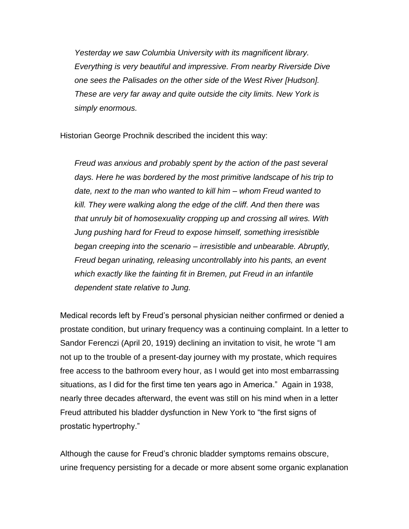*Yesterday we saw Columbia University with its magnificent library. Everything is very beautiful and impressive. From nearby Riverside Dive one sees the Palisades on the other side of the West River [Hudson]. These are very far away and quite outside the city limits. New York is simply enormous.*

Historian George Prochnik described the incident this way:

*Freud was anxious and probably spent by the action of the past several days. Here he was bordered by the most primitive landscape of his trip to date, next to the man who wanted to kill him – whom Freud wanted to kill. They were walking along the edge of the cliff. And then there was that unruly bit of homosexuality cropping up and crossing all wires. With Jung pushing hard for Freud to expose himself, something irresistible began creeping into the scenario – irresistible and unbearable. Abruptly, Freud began urinating, releasing uncontrollably into his pants, an event which exactly like the fainting fit in Bremen, put Freud in an infantile dependent state relative to Jung.* 

Medical records left by Freud's personal physician neither confirmed or denied a prostate condition, but urinary frequency was a continuing complaint. In a letter to Sandor Ferenczi (April 20, 1919) declining an invitation to visit, he wrote "I am not up to the trouble of a present-day journey with my prostate, which requires free access to the bathroom every hour, as I would get into most embarrassing situations, as I did for the first time ten years ago in America." Again in 1938, nearly three decades afterward, the event was still on his mind when in a letter Freud attributed his bladder dysfunction in New York to "the first signs of prostatic hypertrophy."

Although the cause for Freud's chronic bladder symptoms remains obscure, urine frequency persisting for a decade or more absent some organic explanation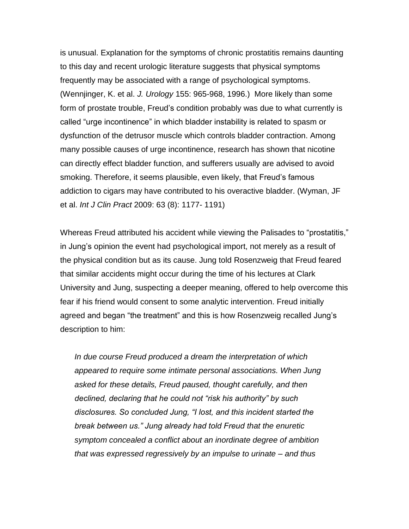is unusual. Explanation for the symptoms of chronic prostatitis remains daunting to this day and recent urologic literature suggests that physical symptoms frequently may be associated with a range of psychological symptoms. (Wennjinger, K. et al. *J. Urology* 155: 965-968, 1996.) More likely than some form of prostate trouble, Freud's condition probably was due to what currently is called "urge incontinence" in which bladder instability is related to spasm or dysfunction of the detrusor muscle which controls bladder contraction. Among many possible causes of urge incontinence, research has shown that nicotine can directly effect bladder function, and sufferers usually are advised to avoid smoking. Therefore, it seems plausible, even likely, that Freud's famous addiction to cigars may have contributed to his overactive bladder. (Wyman, JF et al. *Int J Clin Pract* 2009: 63 (8): 1177- 1191)

Whereas Freud attributed his accident while viewing the Palisades to "prostatitis," in Jung's opinion the event had psychological import, not merely as a result of the physical condition but as its cause. Jung told Rosenzweig that Freud feared that similar accidents might occur during the time of his lectures at Clark University and Jung, suspecting a deeper meaning, offered to help overcome this fear if his friend would consent to some analytic intervention. Freud initially agreed and began "the treatment" and this is how Rosenzweig recalled Jung's description to him:

*In due course Freud produced a dream the interpretation of which appeared to require some intimate personal associations. When Jung asked for these details, Freud paused, thought carefully, and then declined, declaring that he could not "risk his authority" by such disclosures. So concluded Jung, "I lost, and this incident started the break between us." Jung already had told Freud that the enuretic symptom concealed a conflict about an inordinate degree of ambition that was expressed regressively by an impulse to urinate – and thus*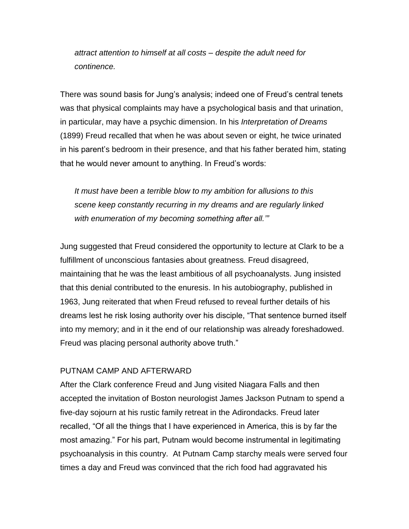*attract attention to himself at all costs – despite the adult need for continence.* 

There was sound basis for Jung's analysis; indeed one of Freud's central tenets was that physical complaints may have a psychological basis and that urination, in particular, may have a psychic dimension. In his *Interpretation of Dreams* (1899) Freud recalled that when he was about seven or eight, he twice urinated in his parent's bedroom in their presence, and that his father berated him, stating that he would never amount to anything. In Freud's words:

*It must have been a terrible blow to my ambition for allusions to this scene keep constantly recurring in my dreams and are regularly linked with enumeration of my becoming something after all.'"* 

Jung suggested that Freud considered the opportunity to lecture at Clark to be a fulfillment of unconscious fantasies about greatness. Freud disagreed, maintaining that he was the least ambitious of all psychoanalysts. Jung insisted that this denial contributed to the enuresis. In his autobiography, published in 1963, Jung reiterated that when Freud refused to reveal further details of his dreams lest he risk losing authority over his disciple, "That sentence burned itself into my memory; and in it the end of our relationship was already foreshadowed. Freud was placing personal authority above truth."

## PUTNAM CAMP AND AFTERWARD

After the Clark conference Freud and Jung visited Niagara Falls and then accepted the invitation of Boston neurologist James Jackson Putnam to spend a five-day sojourn at his rustic family retreat in the Adirondacks. Freud later recalled, "Of all the things that I have experienced in America, this is by far the most amazing." For his part, Putnam would become instrumental in legitimating psychoanalysis in this country. At Putnam Camp starchy meals were served four times a day and Freud was convinced that the rich food had aggravated his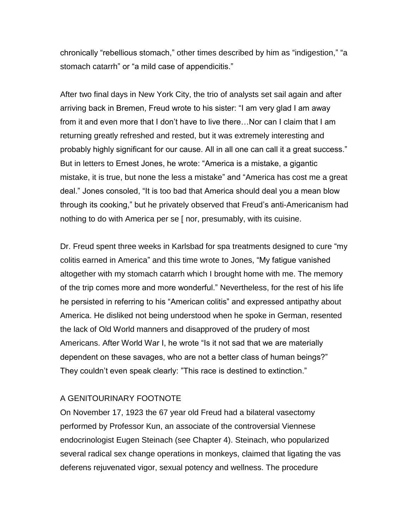chronically "rebellious stomach," other times described by him as "indigestion," "a stomach catarrh" or "a mild case of appendicitis."

After two final days in New York City, the trio of analysts set sail again and after arriving back in Bremen, Freud wrote to his sister: "I am very glad I am away from it and even more that I don't have to live there…Nor can I claim that I am returning greatly refreshed and rested, but it was extremely interesting and probably highly significant for our cause. All in all one can call it a great success." But in letters to Ernest Jones, he wrote: "America is a mistake, a gigantic mistake, it is true, but none the less a mistake" and "America has cost me a great deal." Jones consoled, "It is too bad that America should deal you a mean blow through its cooking," but he privately observed that Freud's anti-Americanism had nothing to do with America per se [ nor, presumably, with its cuisine.

Dr. Freud spent three weeks in Karlsbad for spa treatments designed to cure "my colitis earned in America" and this time wrote to Jones, "My fatigue vanished altogether with my stomach catarrh which I brought home with me. The memory of the trip comes more and more wonderful." Nevertheless, for the rest of his life he persisted in referring to his "American colitis" and expressed antipathy about America. He disliked not being understood when he spoke in German, resented the lack of Old World manners and disapproved of the prudery of most Americans. After World War I, he wrote "Is it not sad that we are materially dependent on these savages, who are not a better class of human beings?" They couldn't even speak clearly: "This race is destined to extinction."

## A GENITOURINARY FOOTNOTE

On November 17, 1923 the 67 year old Freud had a bilateral vasectomy performed by Professor Kun, an associate of the controversial Viennese endocrinologist Eugen Steinach (see Chapter 4). Steinach, who popularized several radical sex change operations in monkeys, claimed that ligating the vas deferens rejuvenated vigor, sexual potency and wellness. The procedure